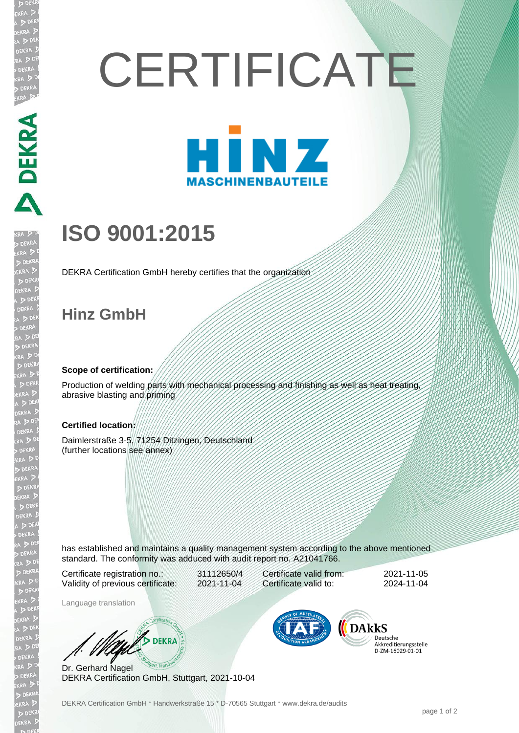# **CERTIFICATE**



## **ISO 9001:2015**

DEKRA Certification GmbH hereby certifies that the organization

### **Hinz GmbH**

PERRA DER RA DER RA DER RA DER RA DER RA DER RA DER RA DER RA DER RA DER RA DER RA DER RA DER RA DER RA DER RA DER RA DER RA DER RA DER RA DER RA DER RA DER RA DER RA DER RA DER RA DER RA DER RA DER RA DER RA DER RA DER RA

EKR

#### **Scope of certification:**

Production of welding parts with mechanical processing and finishing as well as heat treating, abrasive blasting and priming

#### **Certified location:**

Daimlerstraße 3-5, 71254 Ditzingen, Deutschland (further locations see annex)

has established and maintains a quality management system according to the above mentioned standard. The conformity was adduced with audit report no. A21041766.

Certificate registration no.: 31112650/4 Validity of previous certificate: 2021-11-04

Certificate valid from: 2021-11-05 Certificate valid to: 2024-11-04

Language translation

WA DEKRA

Dr. Gerhard Nagel DEKRA Certification GmbH, Stuttgart, 2021-10-04



Deutsche Akkreditierungsstelle